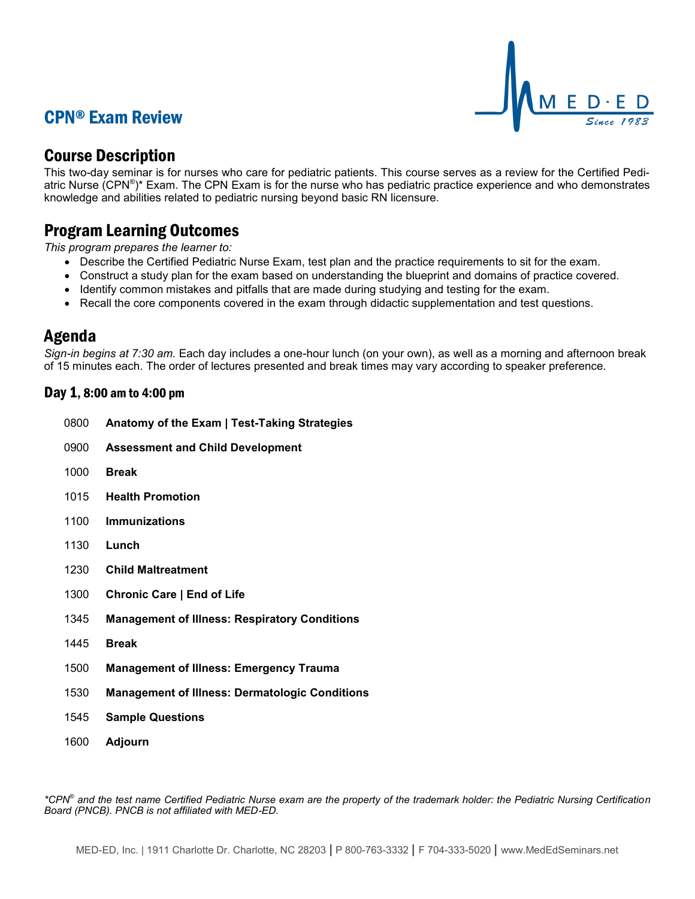# CPN® Exam Review



### Course Description

This two-day seminar is for nurses who care for pediatric patients. This course serves as a review for the Certified Pediatric Nurse (CPN®)\* Exam. The CPN Exam is for the nurse who has pediatric practice experience and who demonstrates knowledge and abilities related to pediatric nursing beyond basic RN licensure.

### Program Learning Outcomes

*This program prepares the learner to:*

- Describe the Certified Pediatric Nurse Exam, test plan and the practice requirements to sit for the exam.
- Construct a study plan for the exam based on understanding the blueprint and domains of practice covered.
- Identify common mistakes and pitfalls that are made during studying and testing for the exam.
- Recall the core components covered in the exam through didactic supplementation and test questions.

### Agenda

*Sign-in begins at 7:30 am.* Each day includes a one-hour lunch (on your own), as well as a morning and afternoon break of 15 minutes each. The order of lectures presented and break times may vary according to speaker preference.

#### Day 1, 8:00 am to 4:00 pm

- 0800 **Anatomy of the Exam | Test-Taking Strategies**
- 0900 **Assessment and Child Development**
- 1000 **Break**
- 1015 **Health Promotion**
- 1100 **Immunizations**
- 1130 **Lunch**
- 1230 **Child Maltreatment**
- 1300 **Chronic Care | End of Life**
- 1345 **Management of Illness: Respiratory Conditions**
- 1445 **Break**
- 1500 **Management of Illness: Emergency Trauma**
- 1530 **Management of Illness: Dermatologic Conditions**
- 1545 **Sample Questions**
- 1600 **Adjourn**

*\*CPN® and the test name Certified Pediatric Nurse exam are the property of the trademark holder: the Pediatric Nursing Certification Board (PNCB). PNCB is not affiliated with MED-ED.*